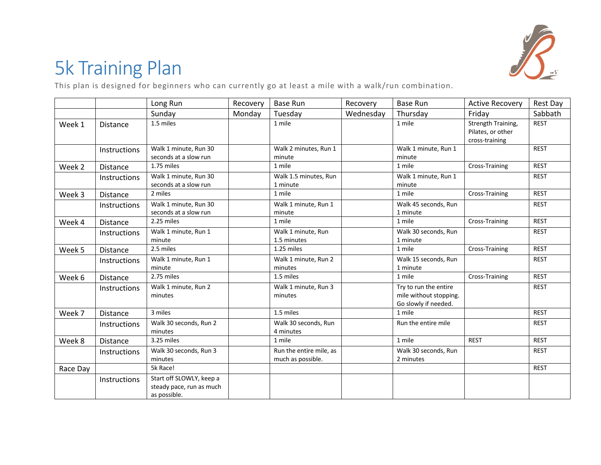

## 5k Training Plan

This plan is designed for beginners who can currently go at least a mile with a walk/run combination.

|          |                     | Long Run                                                             | Recovery | <b>Base Run</b>                              | Recovery  | <b>Base Run</b>                                                         | <b>Active Recovery</b>                                    | Rest Day    |
|----------|---------------------|----------------------------------------------------------------------|----------|----------------------------------------------|-----------|-------------------------------------------------------------------------|-----------------------------------------------------------|-------------|
|          |                     | Sunday                                                               | Monday   | Tuesday                                      | Wednesday | Thursday                                                                | Friday                                                    | Sabbath     |
| Week 1   | <b>Distance</b>     | 1.5 miles                                                            |          | 1 mile                                       |           | 1 mile                                                                  | Strength Training,<br>Pilates, or other<br>cross-training | <b>REST</b> |
|          | Instructions        | Walk 1 minute, Run 30<br>seconds at a slow run                       |          | Walk 2 minutes, Run 1<br>minute              |           | Walk 1 minute, Run 1<br>minute                                          |                                                           | <b>REST</b> |
| Week 2   | <b>Distance</b>     | 1.75 miles                                                           |          | 1 mile                                       |           | 1 mile                                                                  | Cross-Training                                            | <b>REST</b> |
|          | Instructions        | Walk 1 minute, Run 30<br>seconds at a slow run                       |          | Walk 1.5 minutes, Run<br>1 minute            |           | Walk 1 minute, Run 1<br>minute                                          |                                                           | <b>REST</b> |
| Week 3   | <b>Distance</b>     | 2 miles                                                              |          | 1 mile                                       |           | 1 mile                                                                  | Cross-Training                                            | <b>REST</b> |
|          | Instructions        | Walk 1 minute, Run 30<br>seconds at a slow run                       |          | Walk 1 minute, Run 1<br>minute               |           | Walk 45 seconds, Run<br>1 minute                                        |                                                           | <b>REST</b> |
| Week 4   | <b>Distance</b>     | 2.25 miles                                                           |          | 1 mile                                       |           | 1 mile                                                                  | Cross-Training                                            | <b>REST</b> |
|          | Instructions        | Walk 1 minute, Run 1<br>minute                                       |          | Walk 1 minute, Run<br>1.5 minutes            |           | Walk 30 seconds, Run<br>1 minute                                        |                                                           | <b>REST</b> |
| Week 5   | Distance            | 2.5 miles                                                            |          | 1.25 miles                                   |           | 1 mile                                                                  | Cross-Training                                            | <b>REST</b> |
|          | <b>Instructions</b> | Walk 1 minute, Run 1<br>minute                                       |          | Walk 1 minute, Run 2<br>minutes              |           | Walk 15 seconds, Run<br>1 minute                                        |                                                           | <b>REST</b> |
| Week 6   | Distance            | 2.75 miles                                                           |          | 1.5 miles                                    |           | 1 mile                                                                  | Cross-Training                                            | <b>REST</b> |
|          | <b>Instructions</b> | Walk 1 minute, Run 2<br>minutes                                      |          | Walk 1 minute, Run 3<br>minutes              |           | Try to run the entire<br>mile without stopping.<br>Go slowly if needed. |                                                           | <b>REST</b> |
| Week 7   | <b>Distance</b>     | 3 miles                                                              |          | 1.5 miles                                    |           | 1 mile                                                                  |                                                           | <b>REST</b> |
|          | <b>Instructions</b> | Walk 30 seconds, Run 2<br>minutes                                    |          | Walk 30 seconds, Run<br>4 minutes            |           | Run the entire mile                                                     |                                                           | <b>REST</b> |
| Week 8   | Distance            | 3.25 miles                                                           |          | 1 mile                                       |           | 1 mile                                                                  | <b>REST</b>                                               | <b>REST</b> |
|          | Instructions        | Walk 30 seconds, Run 3<br>minutes                                    |          | Run the entire mile, as<br>much as possible. |           | Walk 30 seconds, Run<br>2 minutes                                       |                                                           | <b>REST</b> |
| Race Day |                     | 5k Race!                                                             |          |                                              |           |                                                                         |                                                           | <b>REST</b> |
|          | Instructions        | Start off SLOWLY, keep a<br>steady pace, run as much<br>as possible. |          |                                              |           |                                                                         |                                                           |             |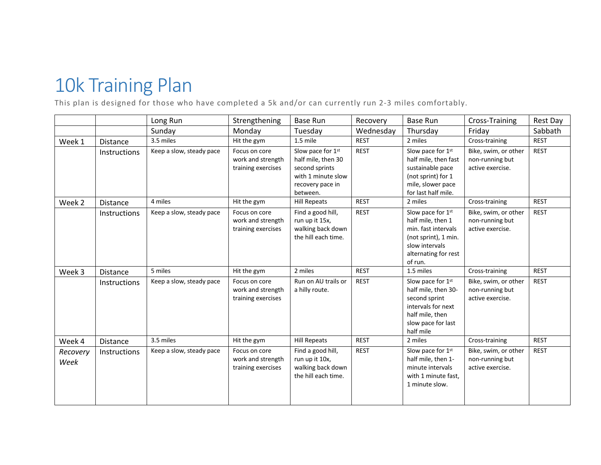## 10k Training Plan

This plan is designed for those who have completed a 5k and/or can currently run 2-3 miles comfortably.

|                  |                     | Long Run                 | Strengthening                                            | <b>Base Run</b>                                                                                                 | Recovery    | <b>Base Run</b>                                                                                                                            | Cross-Training                                              | Rest Day    |
|------------------|---------------------|--------------------------|----------------------------------------------------------|-----------------------------------------------------------------------------------------------------------------|-------------|--------------------------------------------------------------------------------------------------------------------------------------------|-------------------------------------------------------------|-------------|
|                  |                     | Sunday                   | Monday                                                   | Tuesday                                                                                                         | Wednesday   | Thursday                                                                                                                                   | Friday                                                      | Sabbath     |
| Week 1           | <b>Distance</b>     | 3.5 miles                | Hit the gym                                              | 1.5 mile                                                                                                        | <b>REST</b> | 2 miles                                                                                                                                    | Cross-training                                              | <b>REST</b> |
|                  | <b>Instructions</b> | Keep a slow, steady pace | Focus on core<br>work and strength<br>training exercises | Slow pace for 1st<br>half mile, then 30<br>second sprints<br>with 1 minute slow<br>recovery pace in<br>between. | <b>REST</b> | Slow pace for 1st<br>half mile, then fast<br>sustainable pace<br>(not sprint) for 1<br>mile, slower pace<br>for last half mile.            | Bike, swim, or other<br>non-running but<br>active exercise. | <b>REST</b> |
| Week 2           | <b>Distance</b>     | 4 miles                  | Hit the gym                                              | <b>Hill Repeats</b>                                                                                             | <b>REST</b> | 2 miles                                                                                                                                    | Cross-training                                              | <b>REST</b> |
|                  | Instructions        | Keep a slow, steady pace | Focus on core<br>work and strength<br>training exercises | Find a good hill,<br>run up it 15x,<br>walking back down<br>the hill each time.                                 | <b>REST</b> | Slow pace for 1st<br>half mile, then 1<br>min. fast intervals<br>(not sprint), 1 min.<br>slow intervals<br>alternating for rest<br>of run. | Bike, swim, or other<br>non-running but<br>active exercise. | <b>REST</b> |
| Week 3           | <b>Distance</b>     | 5 miles                  | Hit the gym                                              | 2 miles                                                                                                         | <b>REST</b> | 1.5 miles                                                                                                                                  | Cross-training                                              | <b>REST</b> |
|                  | <b>Instructions</b> | Keep a slow, steady pace | Focus on core<br>work and strength<br>training exercises | Run on AU trails or<br>a hilly route.                                                                           | <b>REST</b> | Slow pace for 1st<br>half mile, then 30-<br>second sprint<br>intervals for next<br>half mile, then<br>slow pace for last<br>half mile      | Bike, swim, or other<br>non-running but<br>active exercise. | <b>REST</b> |
| Week 4           | <b>Distance</b>     | 3.5 miles                | Hit the gym                                              | <b>Hill Repeats</b>                                                                                             | <b>REST</b> | 2 miles                                                                                                                                    | Cross-training                                              | <b>REST</b> |
| Recovery<br>Week | Instructions        | Keep a slow, steady pace | Focus on core<br>work and strength<br>training exercises | Find a good hill,<br>run up it 10x,<br>walking back down<br>the hill each time.                                 | <b>REST</b> | Slow pace for 1st<br>half mile, then 1-<br>minute intervals<br>with 1 minute fast,<br>1 minute slow.                                       | Bike, swim, or other<br>non-running but<br>active exercise. | <b>REST</b> |